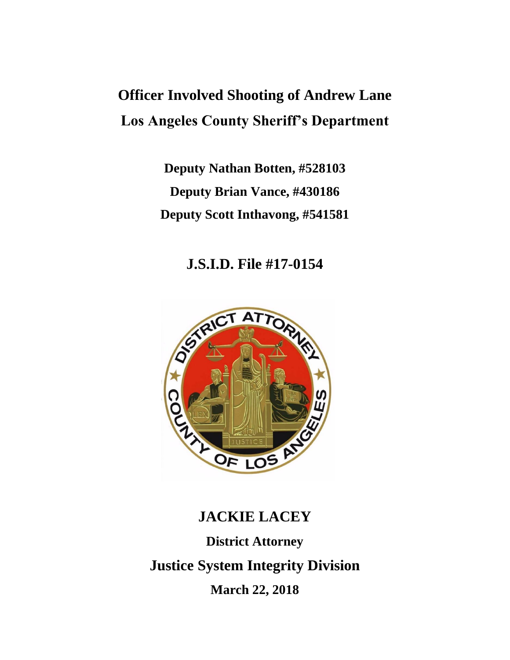## **Officer Involved Shooting of Andrew Lane Los Angeles County Sheriff's Department**

**Deputy Nathan Botten, #528103 Deputy Brian Vance, #430186 Deputy Scott Inthavong, #541581**

**J.S.I.D. File #17-0154**



# **JACKIE LACEY District Attorney Justice System Integrity Division March 22, 2018**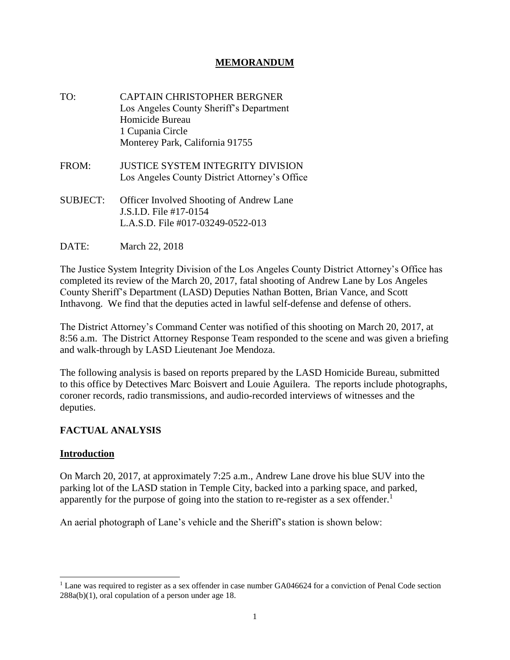## **MEMORANDUM**

- TO: CAPTAIN CHRISTOPHER BERGNER Los Angeles County Sheriff's Department Homicide Bureau 1 Cupania Circle Monterey Park, California 91755
- FROM: JUSTICE SYSTEM INTEGRITY DIVISION Los Angeles County District Attorney's Office
- SUBJECT: Officer Involved Shooting of Andrew Lane J.S.I.D. File #17-0154 L.A.S.D. File #017-03249-0522-013
- DATE: March 22, 2018

The Justice System Integrity Division of the Los Angeles County District Attorney's Office has completed its review of the March 20, 2017, fatal shooting of Andrew Lane by Los Angeles County Sheriff's Department (LASD) Deputies Nathan Botten, Brian Vance, and Scott Inthavong. We find that the deputies acted in lawful self-defense and defense of others.

The District Attorney's Command Center was notified of this shooting on March 20, 2017, at 8:56 a.m. The District Attorney Response Team responded to the scene and was given a briefing and walk-through by LASD Lieutenant Joe Mendoza.

The following analysis is based on reports prepared by the LASD Homicide Bureau, submitted to this office by Detectives Marc Boisvert and Louie Aguilera. The reports include photographs, coroner records, radio transmissions, and audio-recorded interviews of witnesses and the deputies.

## **FACTUAL ANALYSIS**

#### **Introduction**

On March 20, 2017, at approximately 7:25 a.m., Andrew Lane drove his blue SUV into the parking lot of the LASD station in Temple City, backed into a parking space, and parked, apparently for the purpose of going into the station to re-register as a sex offender.<sup>1</sup>

An aerial photograph of Lane's vehicle and the Sheriff's station is shown below:

<sup>&</sup>lt;sup>1</sup> Lane was required to register as a sex offender in case number GA046624 for a conviction of Penal Code section 288a(b)(1), oral copulation of a person under age 18.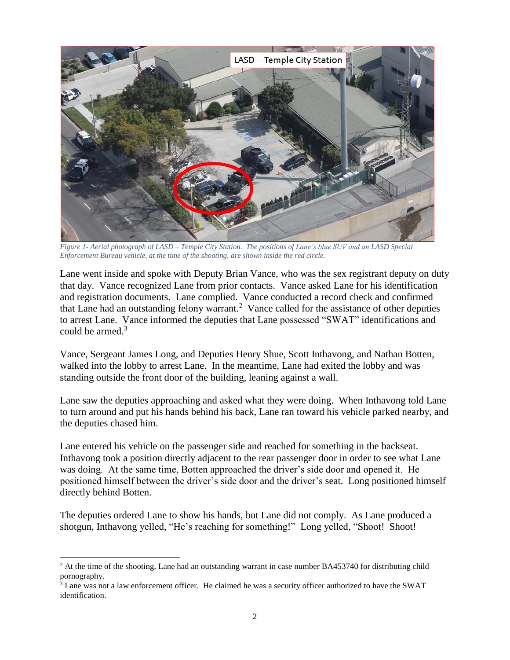

*Figure 1- Aerial photograph of LASD – Temple City Station. The positions of Lane's blue SUV and an LASD Special Enforcement Bureau vehicle, at the time of the shooting, are shown inside the red circle.*

Lane went inside and spoke with Deputy Brian Vance, who was the sex registrant deputy on duty that day. Vance recognized Lane from prior contacts. Vance asked Lane for his identification and registration documents. Lane complied. Vance conducted a record check and confirmed that Lane had an outstanding felony warrant.<sup>2</sup> Vance called for the assistance of other deputies to arrest Lane. Vance informed the deputies that Lane possessed "SWAT" identifications and could be armed.<sup>3</sup>

Vance, Sergeant James Long, and Deputies Henry Shue, Scott Inthavong, and Nathan Botten, walked into the lobby to arrest Lane. In the meantime, Lane had exited the lobby and was standing outside the front door of the building, leaning against a wall.

Lane saw the deputies approaching and asked what they were doing. When Inthavong told Lane to turn around and put his hands behind his back, Lane ran toward his vehicle parked nearby, and the deputies chased him.

Lane entered his vehicle on the passenger side and reached for something in the backseat. Inthavong took a position directly adjacent to the rear passenger door in order to see what Lane was doing. At the same time, Botten approached the driver's side door and opened it. He positioned himself between the driver's side door and the driver's seat. Long positioned himself directly behind Botten.

The deputies ordered Lane to show his hands, but Lane did not comply. As Lane produced a shotgun, Inthavong yelled, "He's reaching for something!" Long yelled, "Shoot! Shoot!

 $<sup>2</sup>$  At the time of the shooting, Lane had an outstanding warrant in case number BA453740 for distributing child</sup> pornography.

<sup>&</sup>lt;sup>3</sup> Lane was not a law enforcement officer. He claimed he was a security officer authorized to have the SWAT identification.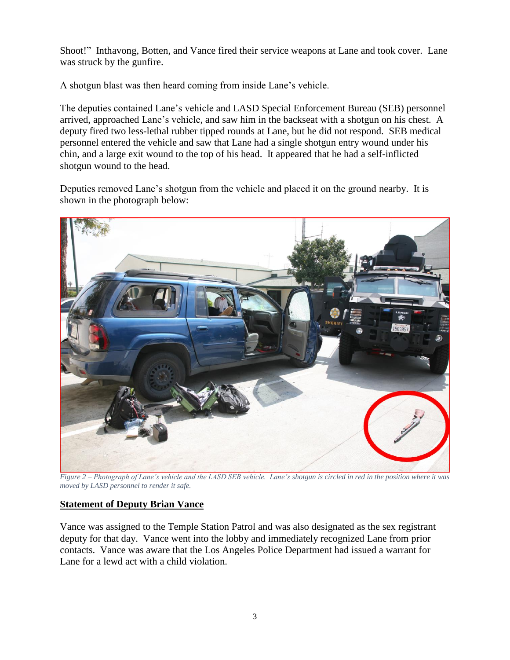Shoot!" Inthavong, Botten, and Vance fired their service weapons at Lane and took cover. Lane was struck by the gunfire.

A shotgun blast was then heard coming from inside Lane's vehicle.

The deputies contained Lane's vehicle and LASD Special Enforcement Bureau (SEB) personnel arrived, approached Lane's vehicle, and saw him in the backseat with a shotgun on his chest. A deputy fired two less-lethal rubber tipped rounds at Lane, but he did not respond. SEB medical personnel entered the vehicle and saw that Lane had a single shotgun entry wound under his chin, and a large exit wound to the top of his head. It appeared that he had a self-inflicted shotgun wound to the head.

Deputies removed Lane's shotgun from the vehicle and placed it on the ground nearby. It is shown in the photograph below:



*Figure 2 – Photograph of Lane's vehicle and the LASD SEB vehicle. Lane's shotgun is circled in red in the position where it was moved by LASD personnel to render it safe.*

## **Statement of Deputy Brian Vance**

Vance was assigned to the Temple Station Patrol and was also designated as the sex registrant deputy for that day. Vance went into the lobby and immediately recognized Lane from prior contacts. Vance was aware that the Los Angeles Police Department had issued a warrant for Lane for a lewd act with a child violation.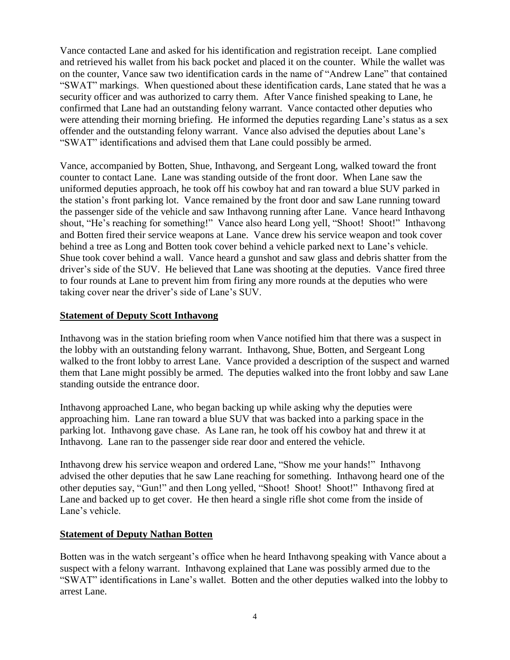Vance contacted Lane and asked for his identification and registration receipt. Lane complied and retrieved his wallet from his back pocket and placed it on the counter. While the wallet was on the counter, Vance saw two identification cards in the name of "Andrew Lane" that contained "SWAT" markings. When questioned about these identification cards, Lane stated that he was a security officer and was authorized to carry them. After Vance finished speaking to Lane, he confirmed that Lane had an outstanding felony warrant. Vance contacted other deputies who were attending their morning briefing. He informed the deputies regarding Lane's status as a sex offender and the outstanding felony warrant. Vance also advised the deputies about Lane's "SWAT" identifications and advised them that Lane could possibly be armed.

Vance, accompanied by Botten, Shue, Inthavong, and Sergeant Long, walked toward the front counter to contact Lane. Lane was standing outside of the front door. When Lane saw the uniformed deputies approach, he took off his cowboy hat and ran toward a blue SUV parked in the station's front parking lot. Vance remained by the front door and saw Lane running toward the passenger side of the vehicle and saw Inthavong running after Lane. Vance heard Inthavong shout, "He's reaching for something!" Vance also heard Long yell, "Shoot! Shoot!" Inthavong and Botten fired their service weapons at Lane. Vance drew his service weapon and took cover behind a tree as Long and Botten took cover behind a vehicle parked next to Lane's vehicle. Shue took cover behind a wall. Vance heard a gunshot and saw glass and debris shatter from the driver's side of the SUV. He believed that Lane was shooting at the deputies. Vance fired three to four rounds at Lane to prevent him from firing any more rounds at the deputies who were taking cover near the driver's side of Lane's SUV.

## **Statement of Deputy Scott Inthavong**

Inthavong was in the station briefing room when Vance notified him that there was a suspect in the lobby with an outstanding felony warrant. Inthavong, Shue, Botten, and Sergeant Long walked to the front lobby to arrest Lane. Vance provided a description of the suspect and warned them that Lane might possibly be armed. The deputies walked into the front lobby and saw Lane standing outside the entrance door.

Inthavong approached Lane, who began backing up while asking why the deputies were approaching him. Lane ran toward a blue SUV that was backed into a parking space in the parking lot. Inthavong gave chase. As Lane ran, he took off his cowboy hat and threw it at Inthavong. Lane ran to the passenger side rear door and entered the vehicle.

Inthavong drew his service weapon and ordered Lane, "Show me your hands!" Inthavong advised the other deputies that he saw Lane reaching for something. Inthavong heard one of the other deputies say, "Gun!" and then Long yelled, "Shoot! Shoot! Shoot!" Inthavong fired at Lane and backed up to get cover. He then heard a single rifle shot come from the inside of Lane's vehicle.

## **Statement of Deputy Nathan Botten**

Botten was in the watch sergeant's office when he heard Inthavong speaking with Vance about a suspect with a felony warrant. Inthavong explained that Lane was possibly armed due to the "SWAT" identifications in Lane's wallet. Botten and the other deputies walked into the lobby to arrest Lane.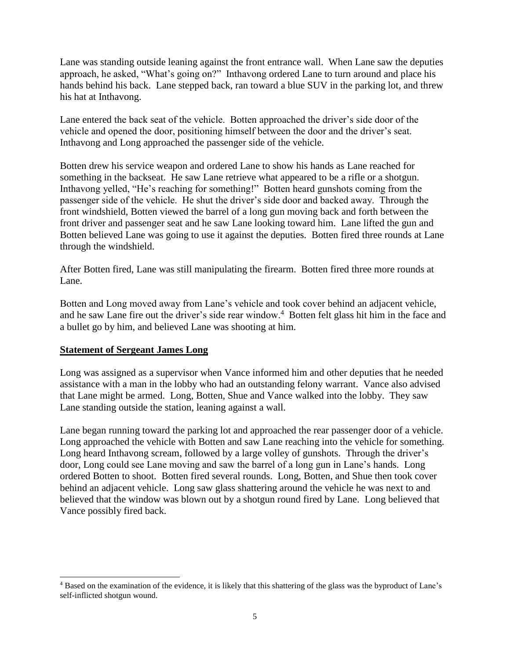Lane was standing outside leaning against the front entrance wall. When Lane saw the deputies approach, he asked, "What's going on?" Inthavong ordered Lane to turn around and place his hands behind his back. Lane stepped back, ran toward a blue SUV in the parking lot, and threw his hat at Inthavong.

Lane entered the back seat of the vehicle. Botten approached the driver's side door of the vehicle and opened the door, positioning himself between the door and the driver's seat. Inthavong and Long approached the passenger side of the vehicle.

Botten drew his service weapon and ordered Lane to show his hands as Lane reached for something in the backseat. He saw Lane retrieve what appeared to be a rifle or a shotgun. Inthavong yelled, "He's reaching for something!" Botten heard gunshots coming from the passenger side of the vehicle. He shut the driver's side door and backed away. Through the front windshield, Botten viewed the barrel of a long gun moving back and forth between the front driver and passenger seat and he saw Lane looking toward him. Lane lifted the gun and Botten believed Lane was going to use it against the deputies. Botten fired three rounds at Lane through the windshield.

After Botten fired, Lane was still manipulating the firearm. Botten fired three more rounds at Lane.

Botten and Long moved away from Lane's vehicle and took cover behind an adjacent vehicle, and he saw Lane fire out the driver's side rear window.<sup>4</sup> Botten felt glass hit him in the face and a bullet go by him, and believed Lane was shooting at him.

#### **Statement of Sergeant James Long**

Long was assigned as a supervisor when Vance informed him and other deputies that he needed assistance with a man in the lobby who had an outstanding felony warrant. Vance also advised that Lane might be armed. Long, Botten, Shue and Vance walked into the lobby. They saw Lane standing outside the station, leaning against a wall.

Lane began running toward the parking lot and approached the rear passenger door of a vehicle. Long approached the vehicle with Botten and saw Lane reaching into the vehicle for something. Long heard Inthavong scream, followed by a large volley of gunshots. Through the driver's door, Long could see Lane moving and saw the barrel of a long gun in Lane's hands. Long ordered Botten to shoot. Botten fired several rounds. Long, Botten, and Shue then took cover behind an adjacent vehicle. Long saw glass shattering around the vehicle he was next to and believed that the window was blown out by a shotgun round fired by Lane. Long believed that Vance possibly fired back.

<sup>4</sup> Based on the examination of the evidence, it is likely that this shattering of the glass was the byproduct of Lane's self-inflicted shotgun wound.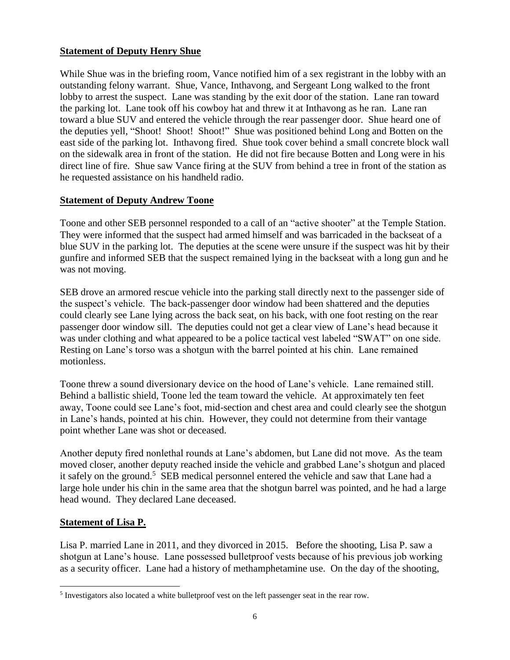## **Statement of Deputy Henry Shue**

While Shue was in the briefing room, Vance notified him of a sex registrant in the lobby with an outstanding felony warrant. Shue, Vance, Inthavong, and Sergeant Long walked to the front lobby to arrest the suspect. Lane was standing by the exit door of the station. Lane ran toward the parking lot. Lane took off his cowboy hat and threw it at Inthavong as he ran. Lane ran toward a blue SUV and entered the vehicle through the rear passenger door. Shue heard one of the deputies yell, "Shoot! Shoot! Shoot!" Shue was positioned behind Long and Botten on the east side of the parking lot. Inthavong fired. Shue took cover behind a small concrete block wall on the sidewalk area in front of the station. He did not fire because Botten and Long were in his direct line of fire. Shue saw Vance firing at the SUV from behind a tree in front of the station as he requested assistance on his handheld radio.

## **Statement of Deputy Andrew Toone**

Toone and other SEB personnel responded to a call of an "active shooter" at the Temple Station. They were informed that the suspect had armed himself and was barricaded in the backseat of a blue SUV in the parking lot. The deputies at the scene were unsure if the suspect was hit by their gunfire and informed SEB that the suspect remained lying in the backseat with a long gun and he was not moving.

SEB drove an armored rescue vehicle into the parking stall directly next to the passenger side of the suspect's vehicle. The back-passenger door window had been shattered and the deputies could clearly see Lane lying across the back seat, on his back, with one foot resting on the rear passenger door window sill. The deputies could not get a clear view of Lane's head because it was under clothing and what appeared to be a police tactical vest labeled "SWAT" on one side. Resting on Lane's torso was a shotgun with the barrel pointed at his chin. Lane remained motionless.

Toone threw a sound diversionary device on the hood of Lane's vehicle. Lane remained still. Behind a ballistic shield, Toone led the team toward the vehicle. At approximately ten feet away, Toone could see Lane's foot, mid-section and chest area and could clearly see the shotgun in Lane's hands, pointed at his chin. However, they could not determine from their vantage point whether Lane was shot or deceased.

Another deputy fired nonlethal rounds at Lane's abdomen, but Lane did not move. As the team moved closer, another deputy reached inside the vehicle and grabbed Lane's shotgun and placed it safely on the ground.<sup>5</sup> SEB medical personnel entered the vehicle and saw that Lane had a large hole under his chin in the same area that the shotgun barrel was pointed, and he had a large head wound. They declared Lane deceased.

## **Statement of Lisa P.**

Lisa P. married Lane in 2011, and they divorced in 2015. Before the shooting, Lisa P. saw a shotgun at Lane's house. Lane possessed bulletproof vests because of his previous job working as a security officer. Lane had a history of methamphetamine use. On the day of the shooting,

<sup>&</sup>lt;sup>5</sup> Investigators also located a white bulletproof vest on the left passenger seat in the rear row.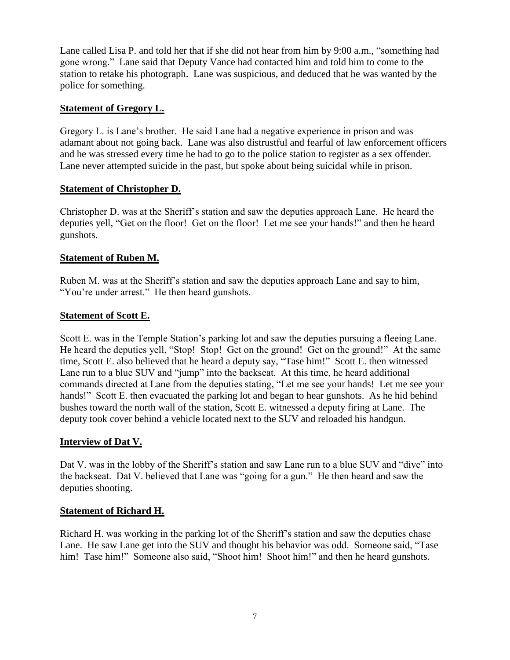Lane called Lisa P. and told her that if she did not hear from him by 9:00 a.m., "something had gone wrong." Lane said that Deputy Vance had contacted him and told him to come to the station to retake his photograph. Lane was suspicious, and deduced that he was wanted by the police for something.

#### **Statement of Gregory L.**

Gregory L. is Lane's brother. He said Lane had a negative experience in prison and was adamant about not going back. Lane was also distrustful and fearful of law enforcement officers and he was stressed every time he had to go to the police station to register as a sex offender. Lane never attempted suicide in the past, but spoke about being suicidal while in prison.

#### **Statement of Christopher D.**

Christopher D. was at the Sheriff's station and saw the deputies approach Lane. He heard the deputies yell, "Get on the floor! Get on the floor! Let me see your hands!" and then he heard gunshots.

#### **Statement of Ruben M.**

Ruben M. was at the Sheriff's station and saw the deputies approach Lane and say to him, "You're under arrest." He then heard gunshots.

#### **Statement of Scott E.**

Scott E. was in the Temple Station's parking lot and saw the deputies pursuing a fleeing Lane. He heard the deputies yell, "Stop! Stop! Get on the ground! Get on the ground!" At the same time, Scott E. also believed that he heard a deputy say, "Tase him!" Scott E. then witnessed Lane run to a blue SUV and "jump" into the backseat. At this time, he heard additional commands directed at Lane from the deputies stating, "Let me see your hands! Let me see your hands!" Scott E. then evacuated the parking lot and began to hear gunshots. As he hid behind bushes toward the north wall of the station, Scott E. witnessed a deputy firing at Lane. The deputy took cover behind a vehicle located next to the SUV and reloaded his handgun.

#### **Interview of Dat V.**

Dat V. was in the lobby of the Sheriff's station and saw Lane run to a blue SUV and "dive" into the backseat. Dat V. believed that Lane was "going for a gun." He then heard and saw the deputies shooting.

#### **Statement of Richard H.**

Richard H. was working in the parking lot of the Sheriff's station and saw the deputies chase Lane. He saw Lane get into the SUV and thought his behavior was odd. Someone said, "Tase him! Tase him!" Someone also said, "Shoot him! Shoot him!" and then he heard gunshots.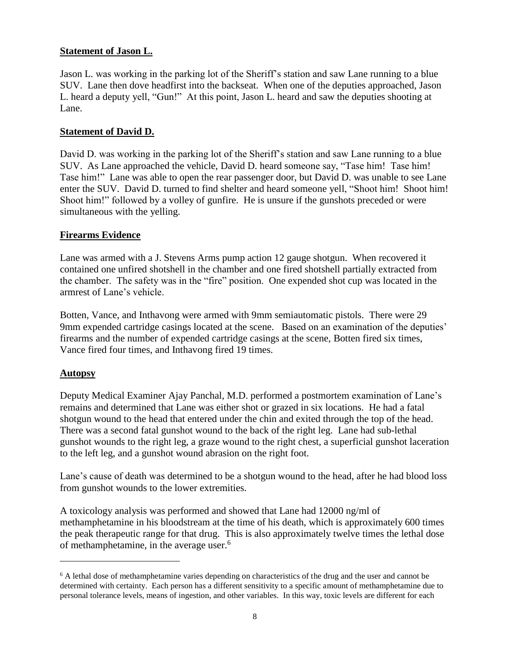#### **Statement of Jason L.**

Jason L. was working in the parking lot of the Sheriff's station and saw Lane running to a blue SUV. Lane then dove headfirst into the backseat. When one of the deputies approached, Jason L. heard a deputy yell, "Gun!" At this point, Jason L. heard and saw the deputies shooting at Lane.

#### **Statement of David D.**

David D. was working in the parking lot of the Sheriff's station and saw Lane running to a blue SUV. As Lane approached the vehicle, David D. heard someone say, "Tase him! Tase him! Tase him!" Lane was able to open the rear passenger door, but David D. was unable to see Lane enter the SUV. David D. turned to find shelter and heard someone yell, "Shoot him! Shoot him! Shoot him!" followed by a volley of gunfire. He is unsure if the gunshots preceded or were simultaneous with the yelling.

#### **Firearms Evidence**

Lane was armed with a J. Stevens Arms pump action 12 gauge shotgun. When recovered it contained one unfired shotshell in the chamber and one fired shotshell partially extracted from the chamber. The safety was in the "fire" position. One expended shot cup was located in the armrest of Lane's vehicle.

Botten, Vance, and Inthavong were armed with 9mm semiautomatic pistols. There were 29 9mm expended cartridge casings located at the scene. Based on an examination of the deputies' firearms and the number of expended cartridge casings at the scene, Botten fired six times, Vance fired four times, and Inthavong fired 19 times.

## **Autopsy**

Deputy Medical Examiner Ajay Panchal, M.D. performed a postmortem examination of Lane's remains and determined that Lane was either shot or grazed in six locations. He had a fatal shotgun wound to the head that entered under the chin and exited through the top of the head. There was a second fatal gunshot wound to the back of the right leg. Lane had sub-lethal gunshot wounds to the right leg, a graze wound to the right chest, a superficial gunshot laceration to the left leg, and a gunshot wound abrasion on the right foot.

Lane's cause of death was determined to be a shotgun wound to the head, after he had blood loss from gunshot wounds to the lower extremities.

A toxicology analysis was performed and showed that Lane had 12000 ng/ml of methamphetamine in his bloodstream at the time of his death, which is approximately 600 times the peak therapeutic range for that drug. This is also approximately twelve times the lethal dose of methamphetamine, in the average user.<sup>6</sup>

<sup>&</sup>lt;sup>6</sup> A lethal dose of methamphetamine varies depending on characteristics of the drug and the user and cannot be determined with certainty. Each person has a different sensitivity to a specific amount of methamphetamine due to personal tolerance levels, means of ingestion, and other variables. In this way, toxic levels are different for each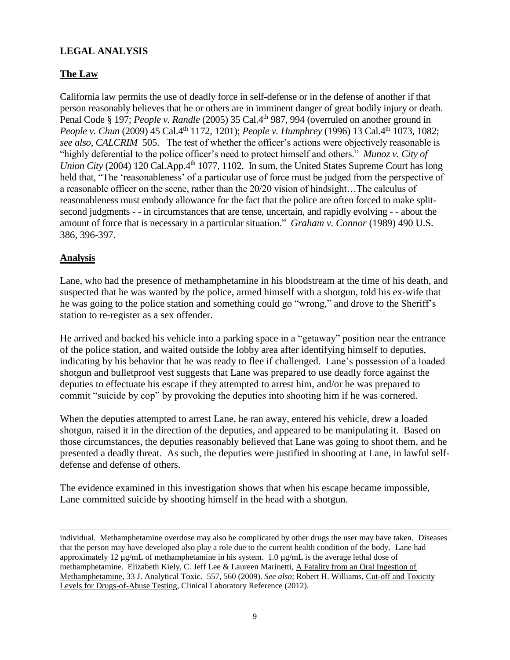## **LEGAL ANALYSIS**

## **The Law**

California law permits the use of deadly force in self-defense or in the defense of another if that person reasonably believes that he or others are in imminent danger of great bodily injury or death. Penal Code § 197; *People v. Randle* (2005) 35 Cal.4<sup>th</sup> 987, 994 (overruled on another ground in *People v. Chun (2009)* 45 Cal.4<sup>th</sup> 1172, 1201); *People v. Humphrey (1996)* 13 Cal.4<sup>th</sup> 1073, 1082; *see also, CALCRIM* 505. The test of whether the officer's actions were objectively reasonable is "highly deferential to the police officer's need to protect himself and others." *Munoz v. City of Union City* (2004) 120 Cal.App.4<sup>th</sup> 1077, 1102. In sum, the United States Supreme Court has long held that, "The 'reasonableness' of a particular use of force must be judged from the perspective of a reasonable officer on the scene, rather than the 20/20 vision of hindsight…The calculus of reasonableness must embody allowance for the fact that the police are often forced to make splitsecond judgments - - in circumstances that are tense, uncertain, and rapidly evolving - - about the amount of force that is necessary in a particular situation." *Graham v. Connor* (1989) 490 U.S. 386, 396-397.

#### **Analysis**

Lane, who had the presence of methamphetamine in his bloodstream at the time of his death, and suspected that he was wanted by the police, armed himself with a shotgun, told his ex-wife that he was going to the police station and something could go "wrong," and drove to the Sheriff's station to re-register as a sex offender.

He arrived and backed his vehicle into a parking space in a "getaway" position near the entrance of the police station, and waited outside the lobby area after identifying himself to deputies, indicating by his behavior that he was ready to flee if challenged. Lane's possession of a loaded shotgun and bulletproof vest suggests that Lane was prepared to use deadly force against the deputies to effectuate his escape if they attempted to arrest him, and/or he was prepared to commit "suicide by cop" by provoking the deputies into shooting him if he was cornered.

When the deputies attempted to arrest Lane, he ran away, entered his vehicle, drew a loaded shotgun, raised it in the direction of the deputies, and appeared to be manipulating it. Based on those circumstances, the deputies reasonably believed that Lane was going to shoot them, and he presented a deadly threat. As such, the deputies were justified in shooting at Lane, in lawful selfdefense and defense of others.

The evidence examined in this investigation shows that when his escape became impossible, Lane committed suicide by shooting himself in the head with a shotgun.

individual. Methamphetamine overdose may also be complicated by other drugs the user may have taken. Diseases that the person may have developed also play a role due to the current health condition of the body. Lane had approximately 12  $\mu$ g/mL of methamphetamine in his system. 1.0  $\mu$ g/mL is the average lethal dose of methamphetamine. Elizabeth Kiely, C. Jeff Lee & Laureen Marinetti, A Fatality from an Oral Ingestion of Methamphetamine, 33 J. Analytical Toxic. 557, 560 (2009). *See also*; Robert H. Williams, Cut-off and Toxicity Levels for Drugs-of-Abuse Testing, Clinical Laboratory Reference (2012).